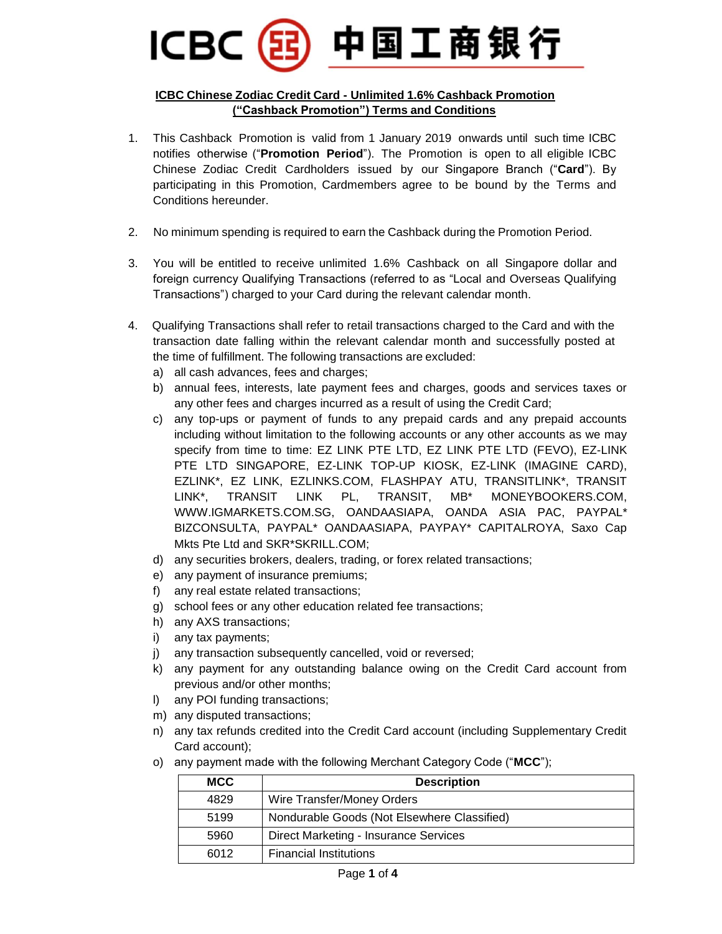# 中国工商银行 **ICBC**

#### **ICBC Chinese Zodiac Credit Card - Unlimited 1.6% Cashback Promotion ("Cashback Promotion") Terms and Conditions**

- 1. This Cashback Promotion is valid from 1 January 2019 onwards until such time ICBC notifies otherwise ("**Promotion Period**"). The Promotion is open to all eligible ICBC Chinese Zodiac Credit Cardholders issued by our Singapore Branch ("**Card**"). By participating in this Promotion, Cardmembers agree to be bound by the Terms and Conditions hereunder.
- 2. No minimum spending is required to earn the Cashback during the Promotion Period.
- 3. You will be entitled to receive unlimited 1.6% Cashback on all Singapore dollar and foreign currency Qualifying Transactions (referred to as "Local and Overseas Qualifying Transactions") charged to your Card during the relevant calendar month.
- 4. Qualifying Transactions shall refer to retail transactions charged to the Card and with the transaction date falling within the relevant calendar month and successfully posted at the time of fulfillment. The following transactions are excluded:
	- a) all cash advances, fees and charges;
	- b) annual fees, interests, late payment fees and charges, goods and services taxes or any other fees and charges incurred as a result of using the Credit Card;
	- c) any top-ups or payment of funds to any prepaid cards and any prepaid accounts including without limitation to the following accounts or any other accounts as we may specify from time to time: EZ LINK PTE LTD, EZ LINK PTE LTD (FEVO), EZ-LINK PTE LTD SINGAPORE, EZ-LINK TOP-UP KIOSK, EZ-LINK (IMAGINE CARD), EZLINK\*, EZ LINK, EZLINKS.COM, FLASHPAY ATU, TRANSITLINK\*, TRANSIT LINK\*, TRANSIT LINK PL, TRANSIT, MB\* MONEYBOOKERS.COM, WWW.IGMARKETS.COM.SG, OANDAASIAPA, OANDA ASIA PAC, PAYPAL\* BIZCONSULTA, PAYPAL\* OANDAASIAPA, PAYPAY\* CAPITALROYA, Saxo Cap Mkts Pte Ltd and SKR\*SKRILL.COM;
	- d) any securities brokers, dealers, trading, or forex related transactions;
	- e) any payment of insurance premiums;
	- f) any real estate related transactions;
	- g) school fees or any other education related fee transactions;
	- h) any AXS transactions;
	- i) any tax payments;
	- j) any transaction subsequently cancelled, void or reversed;
	- k) any payment for any outstanding balance owing on the Credit Card account from previous and/or other months;
	- l) any POI funding transactions;
	- m) any disputed transactions;
	- n) any tax refunds credited into the Credit Card account (including Supplementary Credit Card account);
	- o) any payment made with the following Merchant Category Code ("**MCC**");

| <b>MCC</b> | <b>Description</b>                          |
|------------|---------------------------------------------|
| 4829       | Wire Transfer/Money Orders                  |
| 5199       | Nondurable Goods (Not Elsewhere Classified) |
| 5960       | Direct Marketing - Insurance Services       |
| 6012       | <b>Financial Institutions</b>               |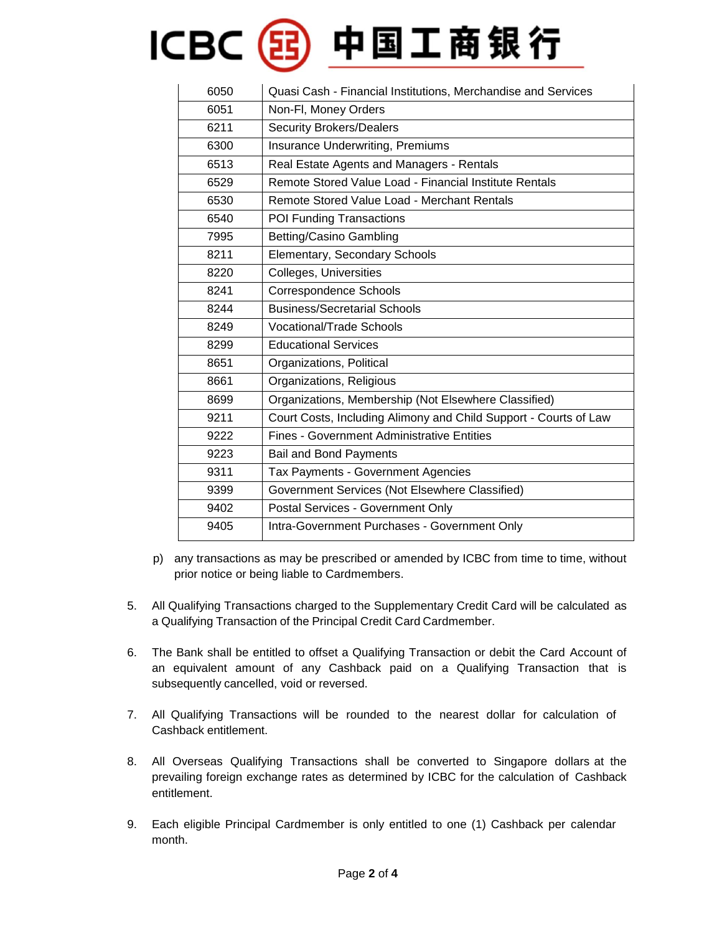# ICBC(B)中国工商银行

| 6050 | Quasi Cash - Financial Institutions, Merchandise and Services    |
|------|------------------------------------------------------------------|
| 6051 | Non-Fl, Money Orders                                             |
| 6211 | <b>Security Brokers/Dealers</b>                                  |
| 6300 | <b>Insurance Underwriting, Premiums</b>                          |
| 6513 | Real Estate Agents and Managers - Rentals                        |
| 6529 | Remote Stored Value Load - Financial Institute Rentals           |
| 6530 | Remote Stored Value Load - Merchant Rentals                      |
| 6540 | POI Funding Transactions                                         |
| 7995 | <b>Betting/Casino Gambling</b>                                   |
| 8211 | Elementary, Secondary Schools                                    |
| 8220 | Colleges, Universities                                           |
| 8241 | Correspondence Schools                                           |
| 8244 | <b>Business/Secretarial Schools</b>                              |
| 8249 | <b>Vocational/Trade Schools</b>                                  |
| 8299 | <b>Educational Services</b>                                      |
| 8651 | Organizations, Political                                         |
| 8661 | Organizations, Religious                                         |
| 8699 | Organizations, Membership (Not Elsewhere Classified)             |
| 9211 | Court Costs, Including Alimony and Child Support - Courts of Law |
| 9222 | <b>Fines - Government Administrative Entities</b>                |
| 9223 | <b>Bail and Bond Payments</b>                                    |
| 9311 | Tax Payments - Government Agencies                               |
| 9399 | Government Services (Not Elsewhere Classified)                   |
| 9402 | Postal Services - Government Only                                |
| 9405 | Intra-Government Purchases - Government Only                     |

- p) any transactions as may be prescribed or amended by ICBC from time to time, without prior notice or being liable to Cardmembers.
- 5. All Qualifying Transactions charged to the Supplementary Credit Card will be calculated as a Qualifying Transaction of the Principal Credit Card Cardmember.
- 6. The Bank shall be entitled to offset a Qualifying Transaction or debit the Card Account of an equivalent amount of any Cashback paid on a Qualifying Transaction that is subsequently cancelled, void or reversed.
- 7. All Qualifying Transactions will be rounded to the nearest dollar for calculation of Cashback entitlement.
- 8. All Overseas Qualifying Transactions shall be converted to Singapore dollars at the prevailing foreign exchange rates as determined by ICBC for the calculation of Cashback entitlement.
- 9. Each eligible Principal Cardmember is only entitled to one (1) Cashback per calendar month.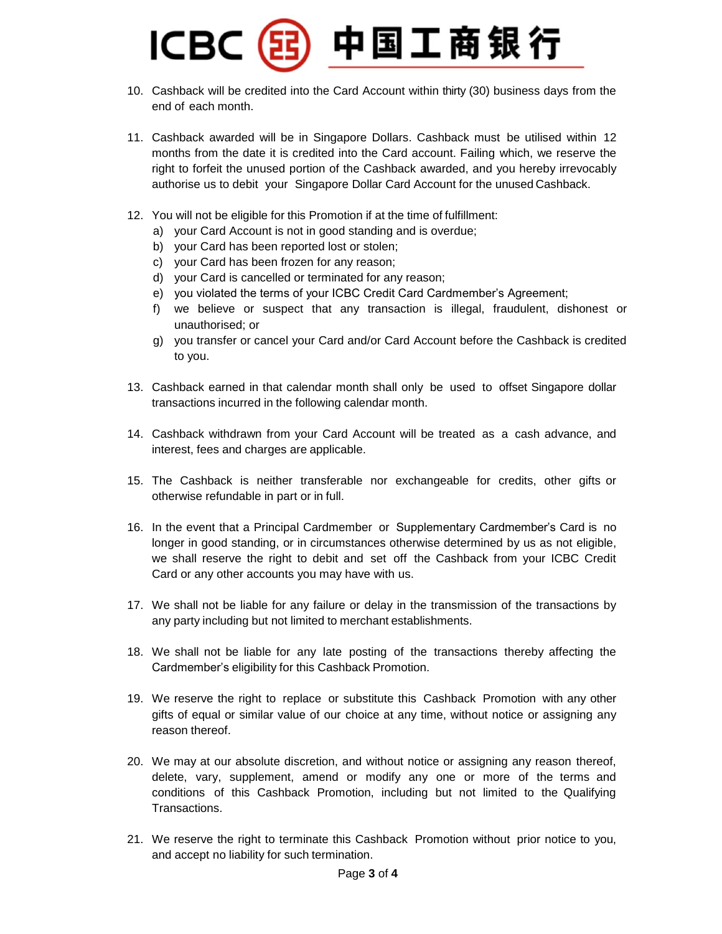### 中国工商银行 **ICBC**

- 10. Cashback will be credited into the Card Account within thirty (30) business days from the end of each month.
- 11. Cashback awarded will be in Singapore Dollars. Cashback must be utilised within 12 months from the date it is credited into the Card account. Failing which, we reserve the right to forfeit the unused portion of the Cashback awarded, and you hereby irrevocably authorise us to debit your Singapore Dollar Card Account for the unused Cashback.
- 12. You will not be eligible for this Promotion if at the time of fulfillment:
	- a) your Card Account is not in good standing and is overdue;
	- b) your Card has been reported lost or stolen;
	- c) your Card has been frozen for any reason;
	- d) your Card is cancelled or terminated for any reason;
	- e) you violated the terms of your ICBC Credit Card Cardmember's Agreement;
	- f) we believe or suspect that any transaction is illegal, fraudulent, dishonest or unauthorised; or
	- g) you transfer or cancel your Card and/or Card Account before the Cashback is credited to you.
- 13. Cashback earned in that calendar month shall only be used to offset Singapore dollar transactions incurred in the following calendar month.
- 14. Cashback withdrawn from your Card Account will be treated as a cash advance, and interest, fees and charges are applicable.
- 15. The Cashback is neither transferable nor exchangeable for credits, other gifts or otherwise refundable in part or in full.
- 16. In the event that a Principal Cardmember or Supplementary Cardmember's Card is no longer in good standing, or in circumstances otherwise determined by us as not eligible, we shall reserve the right to debit and set off the Cashback from your ICBC Credit Card or any other accounts you may have with us.
- 17. We shall not be liable for any failure or delay in the transmission of the transactions by any party including but not limited to merchant establishments.
- 18. We shall not be liable for any late posting of the transactions thereby affecting the Cardmember's eligibility for this Cashback Promotion.
- 19. We reserve the right to replace or substitute this Cashback Promotion with any other gifts of equal or similar value of our choice at any time, without notice or assigning any reason thereof.
- 20. We may at our absolute discretion, and without notice or assigning any reason thereof, delete, vary, supplement, amend or modify any one or more of the terms and conditions of this Cashback Promotion, including but not limited to the Qualifying Transactions.
- 21. We reserve the right to terminate this Cashback Promotion without prior notice to you, and accept no liability for such termination.